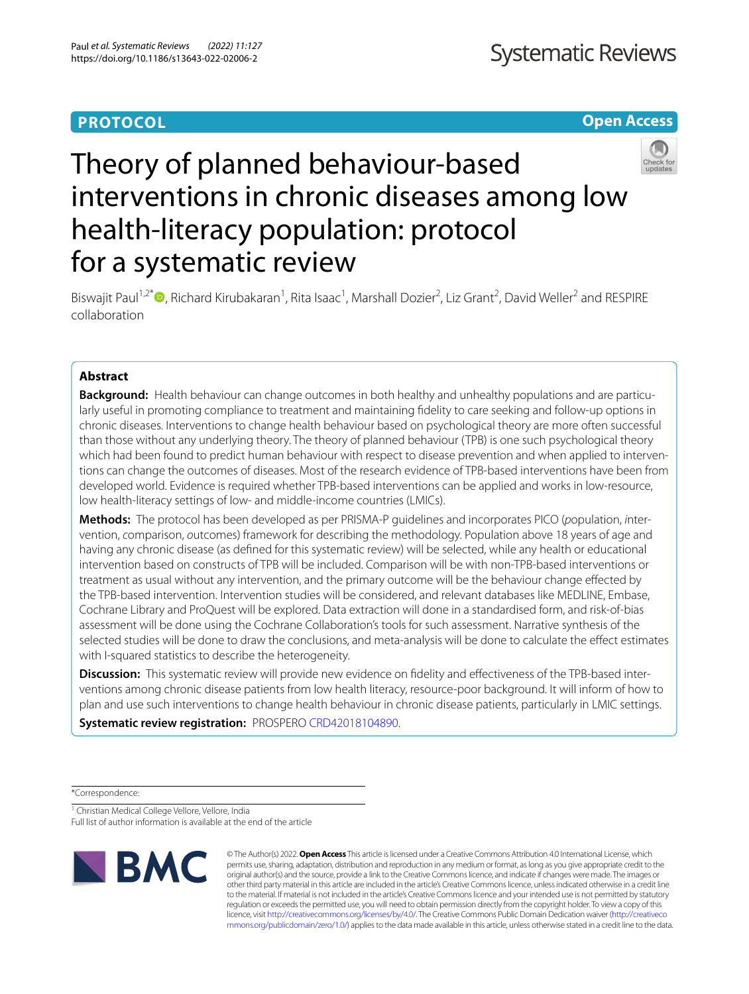# **PROTOCOL**

**Open Access**

# Theory of planned behaviour-based interventions in chronic diseases among low health-literacy population: protocol for a systematic review



Biswajit Paul<sup>1[,](http://orcid.org/0000-0002-2151-0697)2\*</sup><sup>O</sup>, Richard Kirubakaran<sup>1</sup>, Rita Isaac<sup>1</sup>, Marshall Dozier<sup>2</sup>, Liz Grant<sup>2</sup>, David Weller<sup>2</sup> and RESPIRE collaboration

# **Abstract**

**Background:** Health behaviour can change outcomes in both healthy and unhealthy populations and are particularly useful in promoting compliance to treatment and maintaining fdelity to care seeking and follow-up options in chronic diseases. Interventions to change health behaviour based on psychological theory are more often successful than those without any underlying theory. The theory of planned behaviour (TPB) is one such psychological theory which had been found to predict human behaviour with respect to disease prevention and when applied to interventions can change the outcomes of diseases. Most of the research evidence of TPB-based interventions have been from developed world. Evidence is required whether TPB-based interventions can be applied and works in low-resource, low health-literacy settings of low- and middle-income countries (LMICs).

**Methods:** The protocol has been developed as per PRISMA-P guidelines and incorporates PICO (*p*opulation, *i*ntervention, *c*omparison, *o*utcomes) framework for describing the methodology. Population above 18 years of age and having any chronic disease (as defned for this systematic review) will be selected, while any health or educational intervention based on constructs of TPB will be included. Comparison will be with non-TPB-based interventions or treatment as usual without any intervention, and the primary outcome will be the behaviour change efected by the TPB-based intervention. Intervention studies will be considered, and relevant databases like MEDLINE, Embase, Cochrane Library and ProQuest will be explored. Data extraction will done in a standardised form, and risk-of-bias assessment will be done using the Cochrane Collaboration's tools for such assessment. Narrative synthesis of the selected studies will be done to draw the conclusions, and meta-analysis will be done to calculate the efect estimates with I-squared statistics to describe the heterogeneity.

**Discussion:** This systematic review will provide new evidence on fdelity and efectiveness of the TPB-based interventions among chronic disease patients from low health literacy, resource-poor background. It will inform of how to plan and use such interventions to change health behaviour in chronic disease patients, particularly in LMIC settings.

**Systematic review registration:** PROSPERO [CRD42018104890.](https://www.crd.york.ac.uk/PROSPERO/#myprospero)

\*Correspondence:

<sup>1</sup> Christian Medical College Vellore, Vellore, India

Full list of author information is available at the end of the article



© The Author(s) 2022. **Open Access** This article is licensed under a Creative Commons Attribution 4.0 International License, which permits use, sharing, adaptation, distribution and reproduction in any medium or format, as long as you give appropriate credit to the original author(s) and the source, provide a link to the Creative Commons licence, and indicate if changes were made. The images or other third party material in this article are included in the article's Creative Commons licence, unless indicated otherwise in a credit line to the material. If material is not included in the article's Creative Commons licence and your intended use is not permitted by statutory regulation or exceeds the permitted use, you will need to obtain permission directly from the copyright holder. To view a copy of this licence, visit [http://creativecommons.org/licenses/by/4.0/.](http://creativecommons.org/licenses/by/4.0/) The Creative Commons Public Domain Dedication waiver ([http://creativeco](http://creativecommons.org/publicdomain/zero/1.0/) [mmons.org/publicdomain/zero/1.0/](http://creativecommons.org/publicdomain/zero/1.0/)) applies to the data made available in this article, unless otherwise stated in a credit line to the data.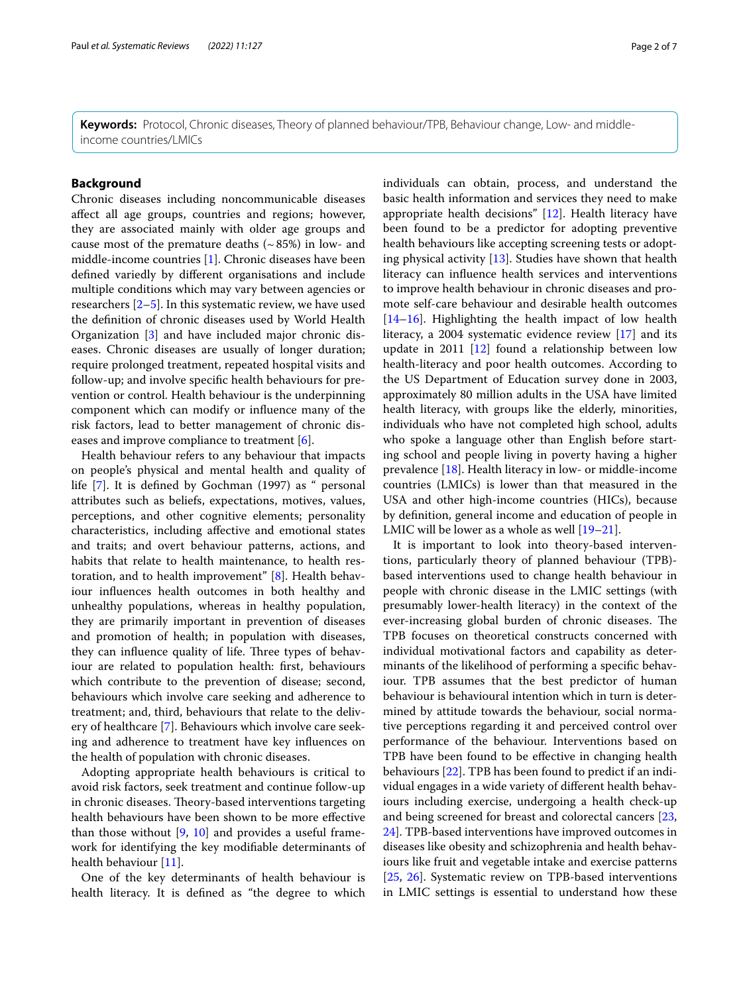**Keywords:** Protocol, Chronic diseases, Theory of planned behaviour/TPB, Behaviour change, Low- and middleincome countries/LMICs

# **Background**

Chronic diseases including noncommunicable diseases afect all age groups, countries and regions; however, they are associated mainly with older age groups and cause most of the premature deaths  $({\sim}85%)$  in low- and middle-income countries [\[1](#page-5-0)]. Chronic diseases have been defned variedly by diferent organisations and include multiple conditions which may vary between agencies or researchers [[2–](#page-5-1)[5](#page-5-2)]. In this systematic review, we have used the defnition of chronic diseases used by World Health Organization [\[3\]](#page-5-3) and have included major chronic diseases. Chronic diseases are usually of longer duration; require prolonged treatment, repeated hospital visits and follow-up; and involve specifc health behaviours for prevention or control. Health behaviour is the underpinning component which can modify or infuence many of the risk factors, lead to better management of chronic dis-eases and improve compliance to treatment [[6\]](#page-5-4).

Health behaviour refers to any behaviour that impacts on people's physical and mental health and quality of life [[7](#page-5-5)]. It is defned by Gochman (1997) as " personal attributes such as beliefs, expectations, motives, values, perceptions, and other cognitive elements; personality characteristics, including afective and emotional states and traits; and overt behaviour patterns, actions, and habits that relate to health maintenance, to health restoration, and to health improvement" [[8\]](#page-5-6). Health behaviour infuences health outcomes in both healthy and unhealthy populations, whereas in healthy population, they are primarily important in prevention of diseases and promotion of health; in population with diseases, they can influence quality of life. Three types of behaviour are related to population health: frst, behaviours which contribute to the prevention of disease; second, behaviours which involve care seeking and adherence to treatment; and, third, behaviours that relate to the delivery of healthcare [[7\]](#page-5-5). Behaviours which involve care seeking and adherence to treatment have key infuences on the health of population with chronic diseases.

Adopting appropriate health behaviours is critical to avoid risk factors, seek treatment and continue follow-up in chronic diseases. Theory-based interventions targeting health behaviours have been shown to be more efective than those without  $[9, 10]$  $[9, 10]$  $[9, 10]$  $[9, 10]$  $[9, 10]$  and provides a useful framework for identifying the key modifable determinants of health behaviour [[11\]](#page-5-9).

One of the key determinants of health behaviour is health literacy. It is defned as "the degree to which individuals can obtain, process, and understand the basic health information and services they need to make appropriate health decisions" [[12](#page-5-10)]. Health literacy have been found to be a predictor for adopting preventive health behaviours like accepting screening tests or adopting physical activity [\[13\]](#page-5-11). Studies have shown that health literacy can infuence health services and interventions to improve health behaviour in chronic diseases and promote self-care behaviour and desirable health outcomes [[14–](#page-5-12)[16\]](#page-5-13). Highlighting the health impact of low health literacy, a 2004 systematic evidence review [[17\]](#page-5-14) and its update in 2011 [\[12\]](#page-5-10) found a relationship between low health-literacy and poor health outcomes. According to the US Department of Education survey done in 2003, approximately 80 million adults in the USA have limited health literacy, with groups like the elderly, minorities, individuals who have not completed high school, adults who spoke a language other than English before starting school and people living in poverty having a higher prevalence [\[18](#page-5-15)]. Health literacy in low- or middle-income countries (LMICs) is lower than that measured in the USA and other high-income countries (HICs), because by defnition, general income and education of people in LMIC will be lower as a whole as well [\[19–](#page-5-16)[21\]](#page-5-17).

It is important to look into theory-based interventions, particularly theory of planned behaviour (TPB) based interventions used to change health behaviour in people with chronic disease in the LMIC settings (with presumably lower-health literacy) in the context of the ever-increasing global burden of chronic diseases. The TPB focuses on theoretical constructs concerned with individual motivational factors and capability as determinants of the likelihood of performing a specifc behaviour. TPB assumes that the best predictor of human behaviour is behavioural intention which in turn is determined by attitude towards the behaviour, social normative perceptions regarding it and perceived control over performance of the behaviour. Interventions based on TPB have been found to be efective in changing health behaviours [[22\]](#page-5-18). TPB has been found to predict if an individual engages in a wide variety of diferent health behaviours including exercise, undergoing a health check-up and being screened for breast and colorectal cancers [[23](#page-5-19), [24\]](#page-5-20). TPB-based interventions have improved outcomes in diseases like obesity and schizophrenia and health behaviours like fruit and vegetable intake and exercise patterns [[25,](#page-5-21) [26\]](#page-5-22). Systematic review on TPB-based interventions in LMIC settings is essential to understand how these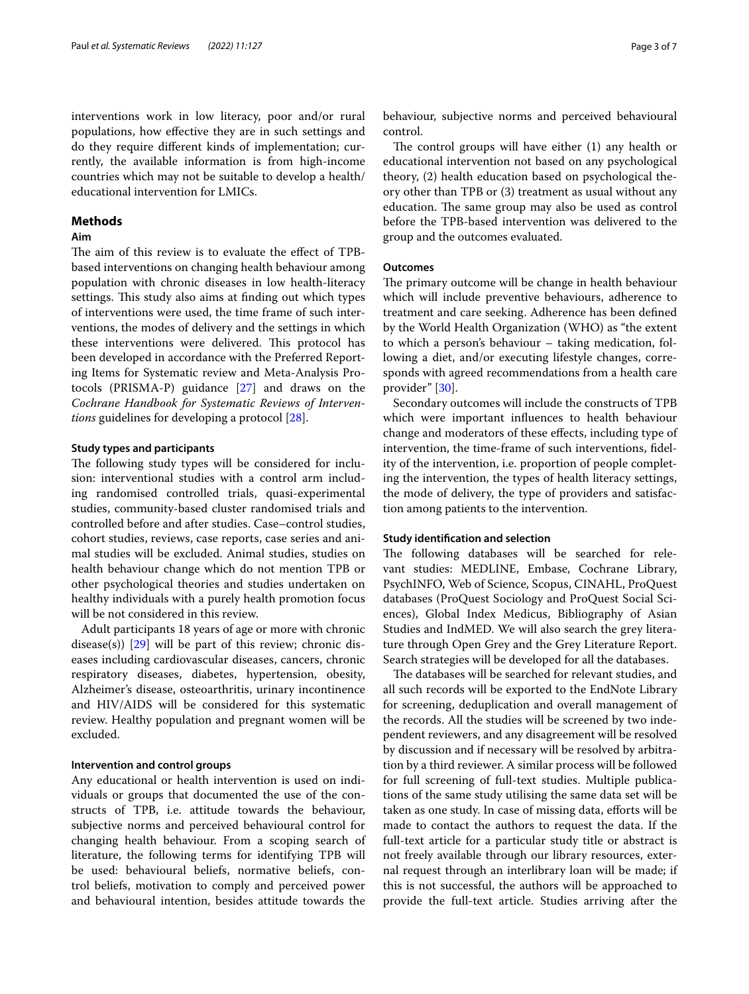interventions work in low literacy, poor and/or rural populations, how efective they are in such settings and do they require diferent kinds of implementation; currently, the available information is from high-income countries which may not be suitable to develop a health/ educational intervention for LMICs.

# **Methods**

# **Aim**

The aim of this review is to evaluate the effect of TPBbased interventions on changing health behaviour among population with chronic diseases in low health-literacy settings. This study also aims at finding out which types of interventions were used, the time frame of such interventions, the modes of delivery and the settings in which these interventions were delivered. This protocol has been developed in accordance with the Preferred Reporting Items for Systematic review and Meta-Analysis Protocols (PRISMA-P) guidance [[27\]](#page-5-23) and draws on the *Cochrane Handbook for Systematic Reviews of Interventions* guidelines for developing a protocol [\[28](#page-5-24)].

## **Study types and participants**

The following study types will be considered for inclusion: interventional studies with a control arm including randomised controlled trials, quasi-experimental studies, community-based cluster randomised trials and controlled before and after studies. Case–control studies, cohort studies, reviews, case reports, case series and animal studies will be excluded. Animal studies, studies on health behaviour change which do not mention TPB or other psychological theories and studies undertaken on healthy individuals with a purely health promotion focus will be not considered in this review.

Adult participants 18 years of age or more with chronic disease(s))  $[29]$  $[29]$  will be part of this review; chronic diseases including cardiovascular diseases, cancers, chronic respiratory diseases, diabetes, hypertension, obesity, Alzheimer's disease, osteoarthritis, urinary incontinence and HIV/AIDS will be considered for this systematic review. Healthy population and pregnant women will be excluded.

#### **Intervention and control groups**

Any educational or health intervention is used on individuals or groups that documented the use of the constructs of TPB, i.e. attitude towards the behaviour, subjective norms and perceived behavioural control for changing health behaviour. From a scoping search of literature, the following terms for identifying TPB will be used: behavioural beliefs, normative beliefs, control beliefs, motivation to comply and perceived power and behavioural intention, besides attitude towards the behaviour, subjective norms and perceived behavioural control.

The control groups will have either  $(1)$  any health or educational intervention not based on any psychological theory, (2) health education based on psychological theory other than TPB or (3) treatment as usual without any education. The same group may also be used as control before the TPB-based intervention was delivered to the group and the outcomes evaluated.

# **Outcomes**

The primary outcome will be change in health behaviour which will include preventive behaviours, adherence to treatment and care seeking. Adherence has been defned by the World Health Organization (WHO) as "the extent to which a person's behaviour – taking medication, following a diet, and/or executing lifestyle changes, corresponds with agreed recommendations from a health care provider" [[30\]](#page-6-0).

Secondary outcomes will include the constructs of TPB which were important infuences to health behaviour change and moderators of these efects, including type of intervention, the time-frame of such interventions, fdelity of the intervention, i.e. proportion of people completing the intervention, the types of health literacy settings, the mode of delivery, the type of providers and satisfaction among patients to the intervention.

# **Study identifcation and selection**

The following databases will be searched for relevant studies: MEDLINE, Embase, Cochrane Library, PsychINFO, Web of Science, Scopus, CINAHL, ProQuest databases (ProQuest Sociology and ProQuest Social Sciences), Global Index Medicus, Bibliography of Asian Studies and IndMED. We will also search the grey literature through Open Grey and the Grey Literature Report. Search strategies will be developed for all the databases.

The databases will be searched for relevant studies, and all such records will be exported to the EndNote Library for screening, deduplication and overall management of the records. All the studies will be screened by two independent reviewers, and any disagreement will be resolved by discussion and if necessary will be resolved by arbitration by a third reviewer. A similar process will be followed for full screening of full-text studies. Multiple publications of the same study utilising the same data set will be taken as one study. In case of missing data, efforts will be made to contact the authors to request the data. If the full-text article for a particular study title or abstract is not freely available through our library resources, external request through an interlibrary loan will be made; if this is not successful, the authors will be approached to provide the full-text article. Studies arriving after the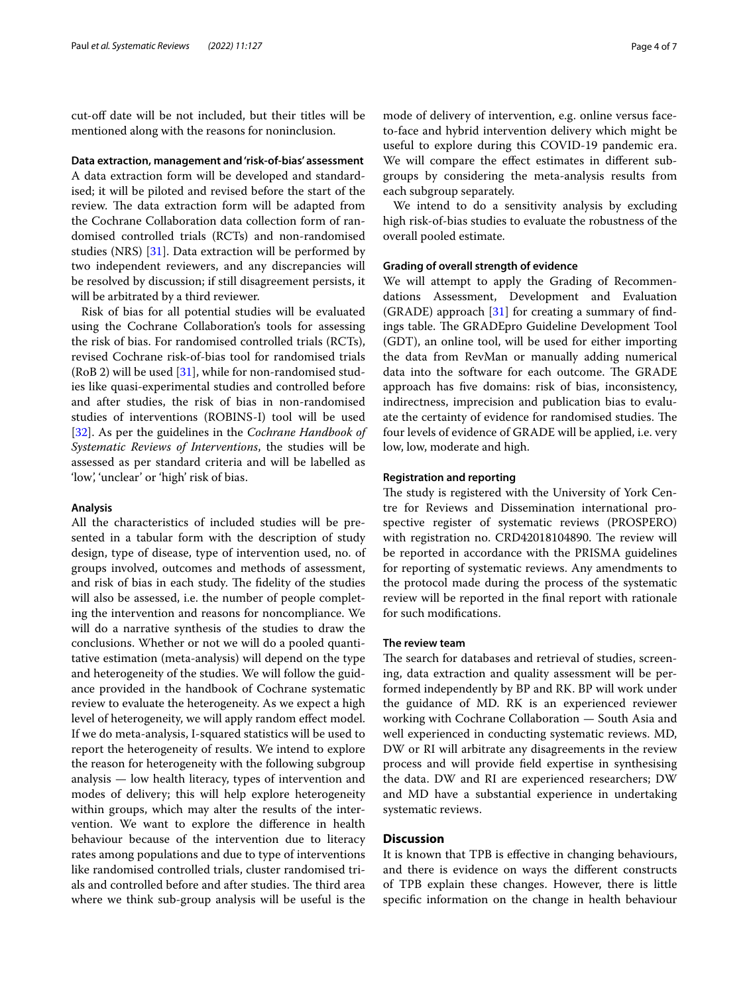cut-off date will be not included, but their titles will be mentioned along with the reasons for noninclusion.

**Data extraction, management and 'risk‑of‑bias' assessment**

A data extraction form will be developed and standardised; it will be piloted and revised before the start of the review. The data extraction form will be adapted from the Cochrane Collaboration data collection form of randomised controlled trials (RCTs) and non-randomised studies (NRS) [\[31](#page-6-1)]. Data extraction will be performed by two independent reviewers, and any discrepancies will be resolved by discussion; if still disagreement persists, it will be arbitrated by a third reviewer.

Risk of bias for all potential studies will be evaluated using the Cochrane Collaboration's tools for assessing the risk of bias. For randomised controlled trials (RCTs), revised Cochrane risk-of-bias tool for randomised trials  $(RoB 2)$  will be used [\[31\]](#page-6-1), while for non-randomised studies like quasi-experimental studies and controlled before and after studies, the risk of bias in non-randomised studies of interventions (ROBINS-I) tool will be used [[32\]](#page-6-2). As per the guidelines in the *Cochrane Handbook of Systematic Reviews of Interventions*, the studies will be assessed as per standard criteria and will be labelled as 'low', 'unclear' or 'high' risk of bias.

#### **Analysis**

All the characteristics of included studies will be presented in a tabular form with the description of study design, type of disease, type of intervention used, no. of groups involved, outcomes and methods of assessment, and risk of bias in each study. The fidelity of the studies will also be assessed, i.e. the number of people completing the intervention and reasons for noncompliance. We will do a narrative synthesis of the studies to draw the conclusions. Whether or not we will do a pooled quantitative estimation (meta-analysis) will depend on the type and heterogeneity of the studies. We will follow the guidance provided in the handbook of Cochrane systematic review to evaluate the heterogeneity. As we expect a high level of heterogeneity, we will apply random efect model. If we do meta-analysis, I-squared statistics will be used to report the heterogeneity of results. We intend to explore the reason for heterogeneity with the following subgroup analysis — low health literacy, types of intervention and modes of delivery; this will help explore heterogeneity within groups, which may alter the results of the intervention. We want to explore the diference in health behaviour because of the intervention due to literacy rates among populations and due to type of interventions like randomised controlled trials, cluster randomised trials and controlled before and after studies. The third area where we think sub-group analysis will be useful is the mode of delivery of intervention, e.g. online versus faceto-face and hybrid intervention delivery which might be useful to explore during this COVID-19 pandemic era. We will compare the efect estimates in diferent subgroups by considering the meta-analysis results from each subgroup separately.

We intend to do a sensitivity analysis by excluding high risk-of-bias studies to evaluate the robustness of the overall pooled estimate.

# **Grading of overall strength of evidence**

We will attempt to apply the Grading of Recommendations Assessment, Development and Evaluation (GRADE) approach  $[31]$  $[31]$  for creating a summary of findings table. The GRADEpro Guideline Development Tool (GDT), an online tool, will be used for either importing the data from RevMan or manually adding numerical data into the software for each outcome. The GRADE approach has fve domains: risk of bias, inconsistency, indirectness, imprecision and publication bias to evaluate the certainty of evidence for randomised studies. The four levels of evidence of GRADE will be applied, i.e. very low, low, moderate and high.

# **Registration and reporting**

The study is registered with the University of York Centre for Reviews and Dissemination international prospective register of systematic reviews (PROSPERO) with registration no. CRD42018104890. The review will be reported in accordance with the PRISMA guidelines for reporting of systematic reviews. Any amendments to the protocol made during the process of the systematic review will be reported in the fnal report with rationale for such modifcations.

# **The review team**

The search for databases and retrieval of studies, screening, data extraction and quality assessment will be performed independently by BP and RK. BP will work under the guidance of MD. RK is an experienced reviewer working with Cochrane Collaboration — South Asia and well experienced in conducting systematic reviews. MD, DW or RI will arbitrate any disagreements in the review process and will provide feld expertise in synthesising the data. DW and RI are experienced researchers; DW and MD have a substantial experience in undertaking systematic reviews.

# **Discussion**

It is known that TPB is efective in changing behaviours, and there is evidence on ways the diferent constructs of TPB explain these changes. However, there is little specifc information on the change in health behaviour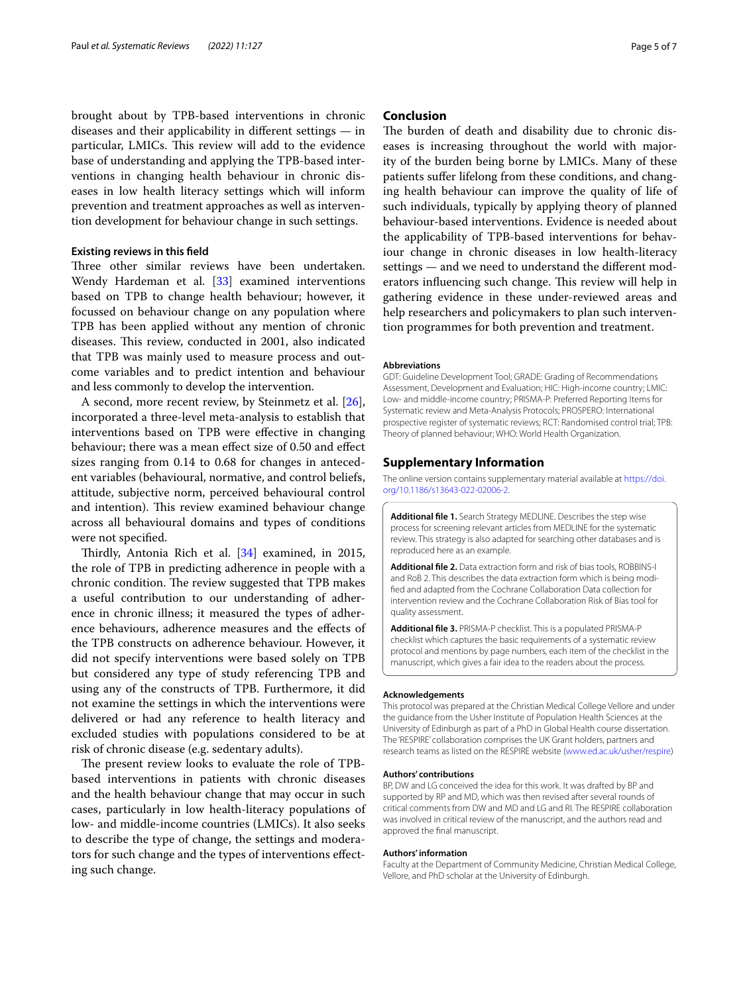brought about by TPB-based interventions in chronic diseases and their applicability in diferent settings — in particular, LMICs. This review will add to the evidence base of understanding and applying the TPB-based interventions in changing health behaviour in chronic diseases in low health literacy settings which will inform prevention and treatment approaches as well as intervention development for behaviour change in such settings.

# **Existing reviews in this feld**

Three other similar reviews have been undertaken. Wendy Hardeman et al. [\[33\]](#page-6-3) examined interventions based on TPB to change health behaviour; however, it focussed on behaviour change on any population where TPB has been applied without any mention of chronic diseases. This review, conducted in 2001, also indicated that TPB was mainly used to measure process and outcome variables and to predict intention and behaviour and less commonly to develop the intervention.

A second, more recent review, by Steinmetz et al. [\[26](#page-5-22)], incorporated a three-level meta-analysis to establish that interventions based on TPB were efective in changing behaviour; there was a mean efect size of 0.50 and efect sizes ranging from 0.14 to 0.68 for changes in antecedent variables (behavioural, normative, and control beliefs, attitude, subjective norm, perceived behavioural control and intention). This review examined behaviour change across all behavioural domains and types of conditions were not specifed.

Thirdly, Antonia Rich et al.  $[34]$  $[34]$  examined, in 2015, the role of TPB in predicting adherence in people with a chronic condition. The review suggested that TPB makes a useful contribution to our understanding of adherence in chronic illness; it measured the types of adherence behaviours, adherence measures and the efects of the TPB constructs on adherence behaviour. However, it did not specify interventions were based solely on TPB but considered any type of study referencing TPB and using any of the constructs of TPB. Furthermore, it did not examine the settings in which the interventions were delivered or had any reference to health literacy and excluded studies with populations considered to be at risk of chronic disease (e.g. sedentary adults).

The present review looks to evaluate the role of TPBbased interventions in patients with chronic diseases and the health behaviour change that may occur in such cases, particularly in low health-literacy populations of low- and middle-income countries (LMICs). It also seeks to describe the type of change, the settings and moderators for such change and the types of interventions efecting such change.

# **Conclusion**

The burden of death and disability due to chronic diseases is increasing throughout the world with majority of the burden being borne by LMICs. Many of these patients sufer lifelong from these conditions, and changing health behaviour can improve the quality of life of such individuals, typically by applying theory of planned behaviour-based interventions. Evidence is needed about the applicability of TPB-based interventions for behaviour change in chronic diseases in low health-literacy settings — and we need to understand the diferent moderators influencing such change. This review will help in gathering evidence in these under-reviewed areas and help researchers and policymakers to plan such intervention programmes for both prevention and treatment.

#### **Abbreviations**

GDT: Guideline Development Tool; GRADE: Grading of Recommendations Assessment, Development and Evaluation; HIC: High-income country; LMIC: Low- and middle-income country; PRISMA-P: Preferred Reporting Items for Systematic review and Meta-Analysis Protocols; PROSPERO: International prospective register of systematic reviews; RCT: Randomised control trial; TPB: Theory of planned behaviour; WHO: World Health Organization.

#### **Supplementary Information**

The online version contains supplementary material available at [https://doi.](https://doi.org/10.1186/s13643-022-02006-2) [org/10.1186/s13643-022-02006-2](https://doi.org/10.1186/s13643-022-02006-2).

**Additional fle 1.** Search Strategy MEDLINE. Describes the step wise process for screening relevant articles from MEDLINE for the systematic review. This strategy is also adapted for searching other databases and is reproduced here as an example.

**Additional fle 2.** Data extraction form and risk of bias tools, ROBBINS-I and RoB 2. This describes the data extraction form which is being modifed and adapted from the Cochrane Collaboration Data collection for intervention review and the Cochrane Collaboration Risk of Bias tool for quality assessment.

**Additional fle 3.** PRISMA-P checklist. This is a populated PRISMA-P checklist which captures the basic requirements of a systematic review protocol and mentions by page numbers, each item of the checklist in the manuscript, which gives a fair idea to the readers about the process.

#### **Acknowledgements**

This protocol was prepared at the Christian Medical College Vellore and under the guidance from the Usher Institute of Population Health Sciences at the University of Edinburgh as part of a PhD in Global Health course dissertation. The 'RESPIRE' collaboration comprises the UK Grant holders, partners and research teams as listed on the RESPIRE website [\(www.ed.ac.uk/usher/respire\)](http://www.ed.ac.uk/usher/respire)

#### **Authors' contributions**

BP, DW and LG conceived the idea for this work. It was drafted by BP and supported by RP and MD, which was then revised after several rounds of critical comments from DW and MD and LG and RI. The RESPIRE collaboration was involved in critical review of the manuscript, and the authors read and approved the fnal manuscript.

#### **Authors' information**

Faculty at the Department of Community Medicine, Christian Medical College, Vellore, and PhD scholar at the University of Edinburgh.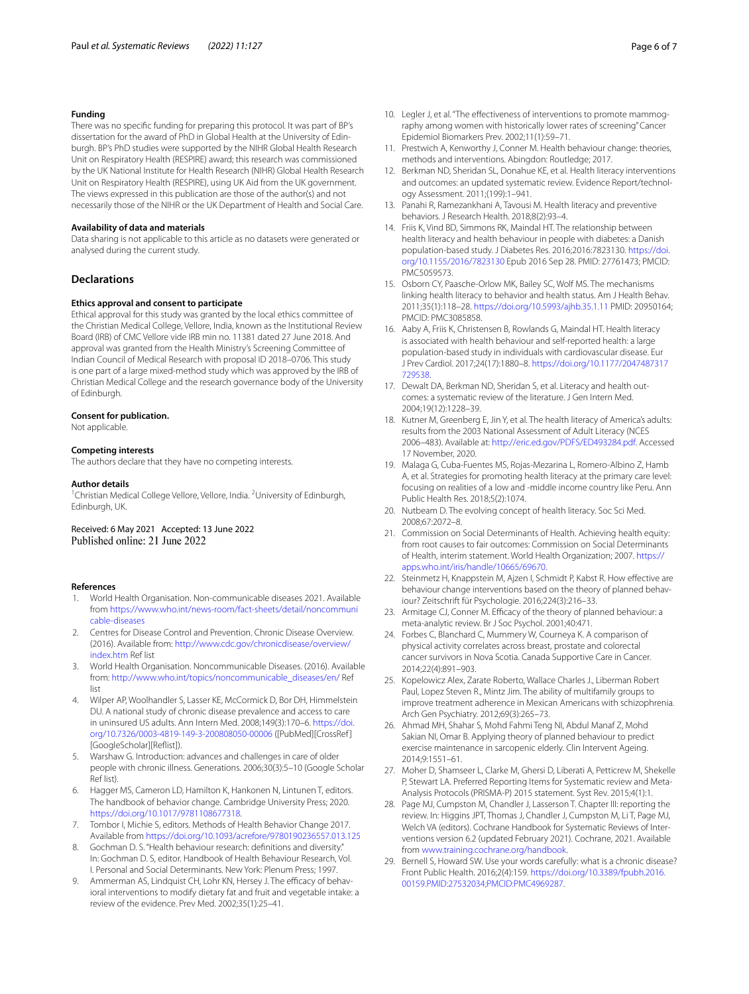#### **Funding**

There was no specifc funding for preparing this protocol. It was part of BP's dissertation for the award of PhD in Global Health at the University of Edinburgh. BP's PhD studies were supported by the NIHR Global Health Research Unit on Respiratory Health (RESPIRE) award; this research was commissioned by the UK National Institute for Health Research (NIHR) Global Health Research Unit on Respiratory Health (RESPIRE), using UK Aid from the UK government. The views expressed in this publication are those of the author(s) and not necessarily those of the NIHR or the UK Department of Health and Social Care.

#### **Availability of data and materials**

Data sharing is not applicable to this article as no datasets were generated or analysed during the current study.

# **Declarations**

#### **Ethics approval and consent to participate**

Ethical approval for this study was granted by the local ethics committee of the Christian Medical College, Vellore, India, known as the Institutional Review Board (IRB) of CMC Vellore vide IRB min no. 11381 dated 27 June 2018. And approval was granted from the Health Ministry's Screening Committee of Indian Council of Medical Research with proposal ID 2018–0706. This study is one part of a large mixed-method study which was approved by the IRB of Christian Medical College and the research governance body of the University of Edinburgh.

#### **Consent for publication.**

Not applicable.

#### **Competing interests**

The authors declare that they have no competing interests.

#### **Author details**

<sup>1</sup> Christian Medical College Vellore, Vellore, India. <sup>2</sup> University of Edinburgh, Edinburgh, UK.

Received: 6 May 2021 Accepted: 13 June 2022<br>Published online: 21 June 2022

#### **References**

- <span id="page-5-0"></span>1. World Health Organisation. Non-communicable diseases 2021. Available from [https://www.who.int/news-room/fact-sheets/detail/noncommuni](https://www.who.int/news-room/fact-sheets/detail/noncommunicable-diseases) [cable-diseases](https://www.who.int/news-room/fact-sheets/detail/noncommunicable-diseases)
- <span id="page-5-1"></span>2. Centres for Disease Control and Prevention. Chronic Disease Overview. (2016). Available from: [http://www.cdc.gov/chronicdisease/overview/](http://www.cdc.gov/chronicdisease/overview/index.htm) [index.htm](http://www.cdc.gov/chronicdisease/overview/index.htm) Ref list
- <span id="page-5-3"></span>3. World Health Organisation. Noncommunicable Diseases. (2016). Available from: [http://www.who.int/topics/noncommunicable\\_diseases/en/](http://www.who.int/topics/noncommunicable_diseases/en/) Ref list
- 4. Wilper AP, Woolhandler S, Lasser KE, McCormick D, Bor DH, Himmelstein DU. A national study of chronic disease prevalence and access to care in uninsured US adults. Ann Intern Med. 2008;149(3):170–6. [https://doi.](https://doi.org/10.7326/0003-4819-149-3-200808050-00006) [org/10.7326/0003-4819-149-3-200808050-00006](https://doi.org/10.7326/0003-4819-149-3-200808050-00006) ([PubMed][CrossRef ] [GoogleScholar][Refist]).
- <span id="page-5-2"></span>5. Warshaw G. Introduction: advances and challenges in care of older people with chronic illness. Generations. 2006;30(3):5–10 (Google Scholar Ref list).
- <span id="page-5-4"></span>6. Hagger MS, Cameron LD, Hamilton K, Hankonen N, Lintunen T, editors. The handbook of behavior change. Cambridge University Press; 2020. <https://doi.org/10.1017/9781108677318>.
- <span id="page-5-5"></span>7. Tombor I, Michie S, editors. Methods of Health Behavior Change 2017. Available from<https://doi.org/10.1093/acrefore/9780190236557.013.125>
- <span id="page-5-6"></span>8. Gochman D. S. "Health behaviour research: definitions and diversity." In: Gochman D. S, editor. Handbook of Health Behaviour Research, Vol. I. Personal and Social Determinants. New York: Plenum Press; 1997.
- <span id="page-5-7"></span>Ammerman AS, Lindquist CH, Lohr KN, Hersey J. The efficacy of behavioral interventions to modify dietary fat and fruit and vegetable intake: a review of the evidence. Prev Med. 2002;35(1):25–41.
- <span id="page-5-8"></span>10. Legler J, et al. "The effectiveness of interventions to promote mammography among women with historically lower rates of screening" Cancer Epidemiol Biomarkers Prev. 2002;11(1):59–71.
- <span id="page-5-9"></span>11. Prestwich A, Kenworthy J, Conner M. Health behaviour change: theories, methods and interventions. Abingdon: Routledge; 2017.
- <span id="page-5-10"></span>12. Berkman ND, Sheridan SL, Donahue KE, et al. Health literacy interventions and outcomes: an updated systematic review. Evidence Report/technology Assessment. 2011;(199):1–941.
- <span id="page-5-11"></span>13. Panahi R, Ramezankhani A, Tavousi M. Health literacy and preventive behaviors. J Research Health. 2018;8(2):93–4.
- <span id="page-5-12"></span>14. Friis K, Vind BD, Simmons RK, Maindal HT. The relationship between health literacy and health behaviour in people with diabetes: a Danish population-based study. J Diabetes Res. 2016;2016:7823130. [https://doi.](https://doi.org/10.1155/2016/7823130) [org/10.1155/2016/7823130](https://doi.org/10.1155/2016/7823130) Epub 2016 Sep 28. PMID: 27761473; PMCID: PMC5059573.
- 15. Osborn CY, Paasche-Orlow MK, Bailey SC, Wolf MS. The mechanisms linking health literacy to behavior and health status. Am J Health Behav. 2011;35(1):118–28. <https://doi.org/10.5993/ajhb.35.1.11> PMID: 20950164; PMCID: PMC3085858.
- <span id="page-5-13"></span>16. Aaby A, Friis K, Christensen B, Rowlands G, Maindal HT. Health literacy is associated with health behaviour and self-reported health: a large population-based study in individuals with cardiovascular disease. Eur J Prev Cardiol. 2017;24(17):1880–8. [https://doi.org/10.1177/2047487317](https://doi.org/10.1177/2047487317729538) [729538.](https://doi.org/10.1177/2047487317729538)
- <span id="page-5-14"></span>17. Dewalt DA, Berkman ND, Sheridan S, et al. Literacy and health outcomes: a systematic review of the literature. J Gen Intern Med. 2004;19(12):1228–39.
- <span id="page-5-15"></span>18. Kutner M, Greenberg E, Jin Y, et al. The health literacy of America's adults: results from the 2003 National Assessment of Adult Literacy (NCES 2006–483). Available at: [http://eric.ed.gov/PDFS/ED493284.pdf.](http://eric.ed.gov/PDFS/ED493284.pdf) Accessed 17 November, 2020.
- <span id="page-5-16"></span>19. Malaga G, Cuba-Fuentes MS, Rojas-Mezarina L, Romero-Albino Z, Hamb A, et al. Strategies for promoting health literacy at the primary care level: focusing on realities of a low and -middle income country like Peru. Ann Public Health Res. 2018;5(2):1074.
- 20. Nutbeam D. The evolving concept of health literacy. Soc Sci Med. 2008;67:2072–8.
- <span id="page-5-17"></span>21. Commission on Social Determinants of Health. Achieving health equity: from root causes to fair outcomes: Commission on Social Determinants of Health, interim statement. World Health Organization; 2007. [https://](https://apps.who.int/iris/handle/10665/69670) [apps.who.int/iris/handle/10665/69670](https://apps.who.int/iris/handle/10665/69670).
- <span id="page-5-18"></span>22. Steinmetz H, Knappstein M, Ajzen I, Schmidt P, Kabst R. How efective are behaviour change interventions based on the theory of planned behaviour? Zeitschrift für Psychologie. 2016;224(3):216–33.
- <span id="page-5-19"></span>23. Armitage CJ, Conner M. Efficacy of the theory of planned behaviour: a meta-analytic review. Br J Soc Psychol. 2001;40:471.
- <span id="page-5-20"></span>24. Forbes C, Blanchard C, Mummery W, Courneya K. A comparison of physical activity correlates across breast, prostate and colorectal cancer survivors in Nova Scotia. Canada Supportive Care in Cancer. 2014;22(4):891–903.
- <span id="page-5-21"></span>25. Kopelowicz Alex, Zarate Roberto, Wallace Charles J., Liberman Robert Paul, Lopez Steven R., Mintz Jim. The ability of multifamily groups to improve treatment adherence in Mexican Americans with schizophrenia. Arch Gen Psychiatry. 2012;69(3):265–73.
- <span id="page-5-22"></span>26. Ahmad MH, Shahar S, Mohd Fahmi Teng NI, Abdul Manaf Z, Mohd Sakian NI, Omar B. Applying theory of planned behaviour to predict exercise maintenance in sarcopenic elderly. Clin Intervent Ageing. 2014;9:1551–61.
- <span id="page-5-23"></span>27. Moher D, Shamseer L, Clarke M, Ghersi D, Liberati A, Petticrew M, Shekelle P, Stewart LA. Preferred Reporting Items for Systematic review and Meta-Analysis Protocols (PRISMA-P) 2015 statement. Syst Rev. 2015;4(1):1.
- <span id="page-5-24"></span>28. Page MJ, Cumpston M, Chandler J, Lasserson T. Chapter III: reporting the review. In: Higgins JPT, Thomas J, Chandler J, Cumpston M, Li T, Page MJ, Welch VA (editors). Cochrane Handbook for Systematic Reviews of Interventions version 6.2 (updated February 2021). Cochrane, 2021. Available from [www.training.cochrane.org/handbook](http://www.training.cochrane.org/handbook).
- <span id="page-5-25"></span>29. Bernell S, Howard SW. Use your words carefully: what is a chronic disease? Front Public Health. 2016;2(4):159. [https://doi.org/10.3389/fpubh.2016.](https://doi.org/10.3389/fpubh.2016.00159.PMID:27532034;PMCID:PMC4969287) [00159.PMID:27532034;PMCID:PMC4969287](https://doi.org/10.3389/fpubh.2016.00159.PMID:27532034;PMCID:PMC4969287).